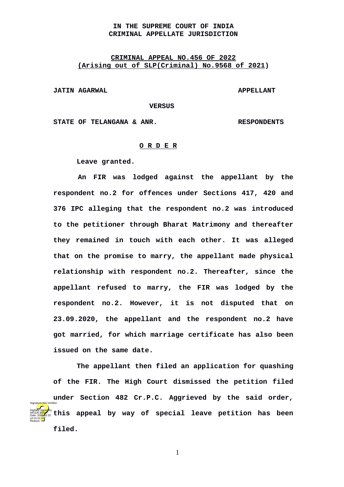## **IN THE SUPREME COURT OF INDIA CRIMINAL APPELLATE JURISDICTION**

## **CRIMINAL APPEAL NO.456 OF 2022 (Arising out of SLP(Criminal) No. 9568 of 2021)**

**JATIN AGARWAL APPELLANT** 

 **VERSUS**

**STATE OF TELANGANA & ANR. RESPONDENTS**

## **O R D E R**

**Leave granted.**

**An FIR was lodged against the appellant by the respondent no.2 for offences under Sections 417, 420 and 376 IPC alleging that the respondent no.2 was introduced to the petitioner through Bharat Matrimony and thereafter they remained in touch with each other. It was alleged that on the promise to marry, the appellant made physical relationship with respondent no.2. Thereafter, since the appellant refused to marry, the FIR was lodged by the respondent no.2. However, it is not disputed that on 23.09.2020, the appellant and the respondent no.2 have got married, for which marriage certificate has also been issued on the same date.** 

**The appellant then filed an application for quashing of the FIR. The High Court dismissed the petition filed under Section 482 Cr.P.C. Aggrieved by the said order, this appeal by way of special leave petition has been filed.**  Digitally signed by arjun B<mark>ish</mark>t Date: 2022.03.25 10:31:01<sup>TST</sup> Reason: Signature Not Verified

1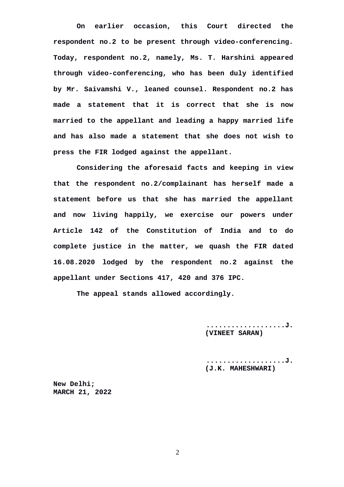**On earlier occasion, this Court directed the respondent no.2 to be present through video-conferencing. Today, respondent no.2, namely, Ms. T. Harshini appeared through video-conferencing, who has been duly identified by Mr. Saivamshi V., leaned counsel. Respondent no.2 has made a statement that it is correct that she is now married to the appellant and leading a happy married life and has also made a statement that she does not wish to press the FIR lodged against the appellant.**

**Considering the aforesaid facts and keeping in view that the respondent no.2/complainant has herself made a statement before us that she has married the appellant and now living happily, we exercise our powers under Article 142 of the Constitution of India and to do complete justice in the matter, we quash the FIR dated 16.08.2020 lodged by the respondent no.2 against the appellant under Sections 417, 420 and 376 IPC.**

**The appeal stands allowed accordingly.**

**...................J. (VINEET SARAN)**

**...................J. (J.K. MAHESHWARI)**

**New Delhi; MARCH 21, 2022**